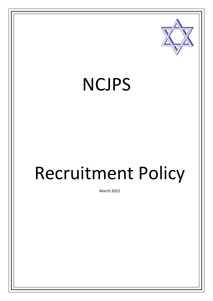

## NCJPS

# Recruitment Policy

March 2021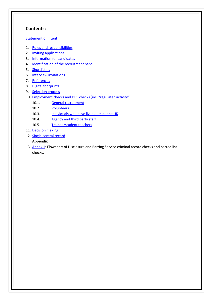#### <span id="page-1-0"></span>**Contents:**

#### [Statement of intent](#page-1-0)

- 1. Roles and [responsibilities](#page-3-0)
- 2. Inviting [applications](#page-3-1)
- 3. [Information for](#page-3-2) candidates
- 4. [Identification of the recruitment](#page-4-0) panel
- 5. [Shortlisting](#page-4-1)
- 6. [Interview invitations](#page-4-2)
- 7. [References](#page-4-3)
- 8. Digital [footprints](#page-5-0)
- 9. [Selection](#page-5-1) process
- 10. [Employment checks and DBS checks \(in](#page-6-0)c. "regulated [activity"\)](#page-6-0)
	- 10.1. General [recruitment](#page-6-1)
	- 10.2. [Volunteers](#page-7-0)
	- 10.3. [Individuals who have lived outside the](#page-8-0) UK
	- 10.4. [Agency and third party](#page-8-1) staff
	- 10.5. [Trainee/student](#page-8-2) teachers
- 11. [Decision](#page-9-0) making
- 12. [Single central](#page-9-1) record

#### **Appendix**

13. [Annex 1:](#page-11-0) Flowchart of Disclosure and Barring Service criminal record checks and barred list checks.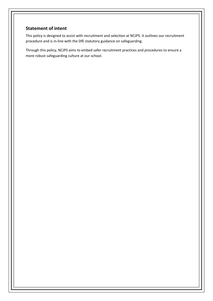#### **Statement of intent**

This policy is designed to assist with recruitment and selection at NCJPS. It outlines our recruitment procedure and is in-line with the DfE statutory guidance on safeguarding.

Through this policy, NCJPS aims to embed safer recruitment practices and procedures to ensure a more robust safeguarding culture at our school.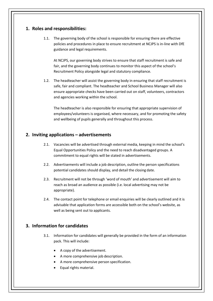#### <span id="page-3-0"></span>**1. Roles and responsibilities:**

1.1. The governing body of the school is responsible for ensuring there are effective policies and procedures in place to ensure recruitment at NCJPS is in-line with DfE guidance and legal requirements.

At NCJPS, our governing body strives to ensure that staff recruitment is safe and fair, and the governing body continues to monitor this aspect of the school's Recruitment Policy alongside legal and statutory compliance.

1.2. The headteacher will assist the governing body in ensuring that staff recruitment is safe, fair and compliant. The headteacher and School Business Manager will also ensure appropriate checks have been carried out on staff, volunteers, contractors and agencies working within the school.

The headteacher is also responsible for ensuring that appropriate supervision of employees/volunteers is organised, where necessary, and for promoting the safety and wellbeing of pupils generally and throughout this process.

#### <span id="page-3-1"></span>**2. Inviting applications – advertisements**

- 2.1. Vacancies will be advertised through external media, keeping in mind the school's Equal Opportunities Policy and the need to reach disadvantaged groups. A commitment to equal rights will be stated in advertisements.
- 2.2. Advertisements will include a job description, outline the person specifications potential candidates should display, and detail the closing date.
- 2.3. Recruitment will not be through 'word of mouth' and advertisement will aim to reach as broad an audience as possible (i.e. local advertising may not be appropriate).
- 2.4. The contact point for telephone or email enquiries will be clearly outlined and it is advisable that application forms are accessible both on the school's website, as well as being sent out to applicants.

#### <span id="page-3-2"></span>**3. Information for candidates**

- 3.1. Information for candidates will generally be provided in the form of an information pack. This will include:
	- A copy of the advertisement.
	- A more comprehensive job description.
	- A more comprehensive person specification.
	- Equal rights material.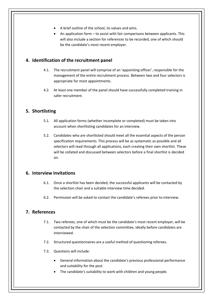- A brief outline of the school, its values and aims.
- An application form to assist with fair comparisons between applicants. This will also include a section for references to be recorded, one of which should be the candidate's most recent employer.

#### <span id="page-4-0"></span>**4. Identification of the recruitment panel**

- 4.1. The recruitment panel will comprise of an 'appointing officer', responsible for the management of the entire recruitment process. Between two and four selectors is appropriate for most appointments.
- 4.2. At least one member of the panel should have successfully completed training in safer recruitment.

#### <span id="page-4-1"></span>**5. Shortlisting**

- 5.1. All application forms (whether incomplete or completed) must be taken into account when shortlisting candidates for an interview.
- 5.2. Candidates who are shortlisted should meet all the essential aspects of the person specification requirements. This process will be as systematic as possible and all selectors will read through all applications, each creating their own shortlist. These will be collated and discussed between selectors before a final shortlist is decided on.

#### <span id="page-4-2"></span>**6. Interview invitations**

- 6.1. Once a shortlist has been decided, the successful applicants will be contacted by the selection chair and a suitable interview time decided.
- 6.2. Permission will be asked to contact the candidate's referees prior to interview.

#### <span id="page-4-3"></span>**7. References**

- 7.1. Two referees, one of which must be the candidate's most recent employer, will be contacted by the chair of the selection committee, ideally before candidates are interviewed.
- 7.2. Structured questionnaires are a useful method of questioning referees.
- 7.3. Questions will include:
	- General information about the candidate's previous professional performance and suitability for the post.
	- The candidate's suitability to work with children and young people.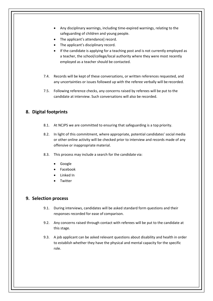- Any disciplinary warnings, including time-expired warnings, relating to the safeguarding of children and young people.
- The applicant's attendance] record.
- The applicant's disciplinary record.
- If the candidate is applying for a teaching post and is not currently employed as a teacher, the school/college/local authority where they were most recently employed as a teacher should be contacted.
- 7.4. Records will be kept of these conversations, or written references requested, and any uncertainties or issues followed up with the referee verbally will be recorded.
- 7.5. Following reference checks, any concerns raised by referees will be put to the candidate at interview. Such conversations will also be recorded.

#### <span id="page-5-0"></span>**8. Digital footprints**

- 8.1. At NCJPS we are committed to ensuring that safeguarding is a top priority.
- 8.2. In light of this commitment, where appropriate, potential candidates' social media or other online activity will be checked prior to interview and records made of any offensive or inappropriate material.
- 8.3. This process may include a search for the candidate via:
	- Google
	- Facebook
	- Linked In
	- **Twitter**

#### <span id="page-5-1"></span>**9. Selection process**

- 9.1. During interviews, candidates will be asked standard form questions and their responses recorded for ease of comparison.
- 9.2. Any concerns raised through contact with referees will be put to the candidate at this stage.
- 9.3. A job applicant can be asked relevant questions about disability and health in order to establish whether they have the physical and mental capacity for the specific role.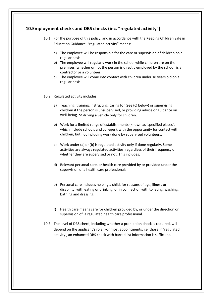### <span id="page-6-1"></span><span id="page-6-0"></span>**10.Employment checks and DBS checks (inc. "regulated activity")** 10.1. For the purpose of this policy, and in accordance with the Keeping Children Safe in Education Guidance, "regulated activity" means: a) The employee will be responsible for the care or supervision of children on a regular basis. b) The employee will regularly work in the school while children are on the premises (whether or not the person is directly employed by the school, is a contractor or a volunteer). c) The employee will come into contact with children under 18 years old on a regular basis. 10.2. Regulated activity includes: a) Teaching, training, instructing, caring for (see (c) below) or supervising children if the person is unsupervised, or providing advice or guidance on well-being, or driving a vehicle only for children. b) Work for a limited range of establishments (known as 'specified places', which include schools and colleges), with the opportunity for contact with children, but not including work done by supervised volunteers. c) Work under (a) or (b) is regulated activity only if done regularly. Some activities are always regulated activities, regardless of their frequency or whether they are supervised or not. This includes: d) Relevant personal care, or health care provided by or provided under the supervision of a health care professional: e) Personal care includes helping a child, for reasons of age, illness or disability, with eating or drinking, or in connection with toileting, washing, bathing and dressing. f) Health care means care for children provided by, or under the direction or supervision of, a regulated health care professional. 10.3. The level of DBS check, including whether a prohibition check is required, will depend on the applicant's role. For most appointments, i.e. those in 'regulated activity', an enhanced DBS check with barred list information is sufficient.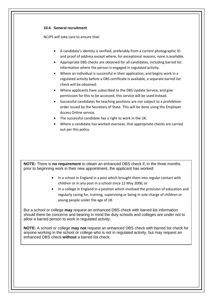<span id="page-7-0"></span>

| 10.4. General recruitment                                                                                                                                                                                                                                                                                                                                                                                                                                                                                                                                                                                                                                                                                                                                                                                                                                                                                                                                                                                                       |
|---------------------------------------------------------------------------------------------------------------------------------------------------------------------------------------------------------------------------------------------------------------------------------------------------------------------------------------------------------------------------------------------------------------------------------------------------------------------------------------------------------------------------------------------------------------------------------------------------------------------------------------------------------------------------------------------------------------------------------------------------------------------------------------------------------------------------------------------------------------------------------------------------------------------------------------------------------------------------------------------------------------------------------|
| NCJPS will take care to ensure that:                                                                                                                                                                                                                                                                                                                                                                                                                                                                                                                                                                                                                                                                                                                                                                                                                                                                                                                                                                                            |
| A candidate's identity is verified, preferably from a current photographic ID<br>and proof of address except where, for exceptional reasons, none is available.<br>Appropriate DBS checks are obtained for all candidates, including barred list<br>information where the person is engaged in regulated activity.<br>Where an individual is successful in their application, and begins work in a<br>regulated activity before a DBS certificate is available, a separate barred list<br>check will be obtained:<br>Where applicants have subscribed to the DBS Update Service, and give<br>permission for this to be accessed, this service will be used instead.<br>Successful candidates for teaching positions are not subject to a prohibition<br>order issued by the Secretary of State. This will be done using the Employer<br>Access Online service.<br>The successful candidate has a right to work in the UK.<br>Where a candidate has worked overseas, that appropriate checks are carried<br>out per this policy. |
| NOTE: There is no requirement to obtain an enhanced DBS check if, in the three months<br>prior to beginning work in their new appointment, the applicant has worked:                                                                                                                                                                                                                                                                                                                                                                                                                                                                                                                                                                                                                                                                                                                                                                                                                                                            |
| In a school in England in a post which brought them into regular contact with<br>children or in any post in a school since 12 May 2006; or                                                                                                                                                                                                                                                                                                                                                                                                                                                                                                                                                                                                                                                                                                                                                                                                                                                                                      |
| In a college in England in a position which involved the provision of education and                                                                                                                                                                                                                                                                                                                                                                                                                                                                                                                                                                                                                                                                                                                                                                                                                                                                                                                                             |
| regularly caring for, training, supervising or being in sole charge of children or<br>young people under the age of 18.                                                                                                                                                                                                                                                                                                                                                                                                                                                                                                                                                                                                                                                                                                                                                                                                                                                                                                         |
| But a school or college may request an enhanced DBS check with barred list information<br>should there be concerns and bearing in mind the duty schools and colleges are under not to<br>allow a barred person to work in regulated activity.                                                                                                                                                                                                                                                                                                                                                                                                                                                                                                                                                                                                                                                                                                                                                                                   |
|                                                                                                                                                                                                                                                                                                                                                                                                                                                                                                                                                                                                                                                                                                                                                                                                                                                                                                                                                                                                                                 |
| NOTE: A school or college may not request an enhanced DBS check with barred list check for<br>anyone working in the school or college who is not in regulated activity, but may request an<br>enhanced DBS check without a barred list check.                                                                                                                                                                                                                                                                                                                                                                                                                                                                                                                                                                                                                                                                                                                                                                                   |
|                                                                                                                                                                                                                                                                                                                                                                                                                                                                                                                                                                                                                                                                                                                                                                                                                                                                                                                                                                                                                                 |
|                                                                                                                                                                                                                                                                                                                                                                                                                                                                                                                                                                                                                                                                                                                                                                                                                                                                                                                                                                                                                                 |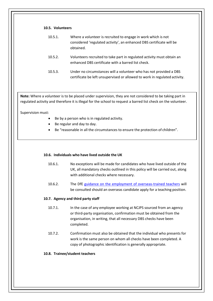#### **10.5. Volunteers**

| 10.5.1. | Where a volunteer is recruited to engage in work which is not<br>considered 'regulated activity', an enhanced DBS certificate will be<br>obtained. |
|---------|----------------------------------------------------------------------------------------------------------------------------------------------------|
| 10.5.2. | Volunteers recruited to take part in regulated activity must obtain an<br>enhanced DBS certificate with a barred list check.                       |
| 10.5.3. | Under no circumstances will a volunteer who has not provided a DBS<br>certificate be left unsupervised or allowed to work in regulated activity.   |

**Note:** Where a volunteer is to be placed under supervision, they are not considered to be taking part in regulated activity and therefore it is illegal for the school to request a barred list check on the volunteer.

Supervision must:

- Be by a person who is in regulated activity.
- Be regular and day to day.
- Be "reasonable in all the circumstances to ensure the protection of children".

#### <span id="page-8-0"></span>**10.6. Individuals who have lived outside the UK**

- 10.6.1. No exceptions will be made for candidates who have lived outside of the UK, all mandatory checks outlined in this policy will be carried out, along with additional checks where necessary.
- 10.6.2. The DfE [guidance on the employment of overseas-trained teachers](https://www.gov.uk/government/publications/employing-overseas-trained-teachers-from-outside-the-eea) will be consulted should an overseas candidate apply for a teaching position.

#### <span id="page-8-1"></span>**10.7. Agency and third party staff**

- 10.7.1. In the case of any employee working at NCJPS sourced from an agency or third-party organisation, confirmation must be obtained from the organisation, in writing, that all necessary DBS checks have been completed.
- 10.7.2. Confirmation must also be obtained that the individual who presents for work is the same person on whom all checks have been completed. A copy of photographic identification is generally appropriate.

#### <span id="page-8-2"></span>**10.8. Trainee/student teachers**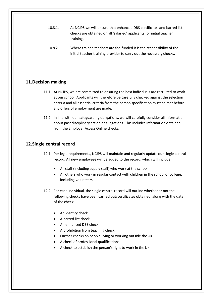- 10.8.1. At NCJPS we will ensure that enhanced DBS certificates and barred list checks are obtained on all 'salaried' applicants for initial teacher training.
- 10.8.2. Where trainee teachers are fee-funded it is the responsibility of the initial teacher training provider to carry out the necessary checks.

#### <span id="page-9-0"></span>**11.Decision making**

- 11.1. At NCJPS, we are committed to ensuring the best individuals are recruited to work at our school. Applicants will therefore be carefully checked against the selection criteria and all essential criteria from the person specification must be met before any offers of employment are made.
- 11.2. In line with our safeguarding obligations, we will carefully consider all information about past disciplinary action or allegations. This includes information obtained from the Employer Access Online checks.

#### <span id="page-9-1"></span>**12.Single central record**

- 12.1. Per legal requirements, NCJPS will maintain and regularly update our single central record. All new employees will be added to the record, which will include:
	- All staff (including supply staff) who work at the school.
	- All others who work in regular contact with children in the school or college, including volunteers.
- 12.2. For each individual, the single central record will outline whether or not the following checks have been carried out/certificates obtained, along with the date of the check:
	- An identity check
	- A barred list check
	- An enhanced DBS check
	- A prohibition from teaching check
	- Further checks on people living or working outside theUK
	- A check of professional qualifications
	- A check to establish the person's right to work in the UK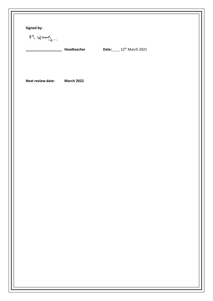| Signed by:<br>$M.$ Wood  |                   |                                   |  |
|--------------------------|-------------------|-----------------------------------|--|
|                          | Headteacher       | Date: 12 <sup>th</sup> March 2021 |  |
| <b>Next review date:</b> | <b>March 2022</b> |                                   |  |
|                          |                   |                                   |  |
|                          |                   |                                   |  |
|                          |                   |                                   |  |
|                          |                   |                                   |  |
|                          |                   |                                   |  |
|                          |                   |                                   |  |
|                          |                   |                                   |  |
|                          |                   |                                   |  |